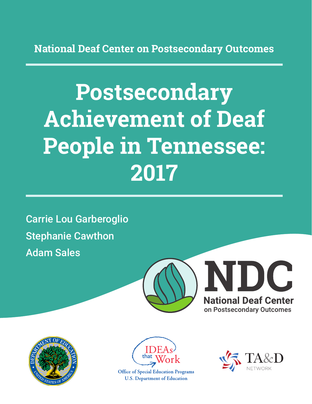**National Deaf Center on Postsecondary Outcomes**

# **Postsecondary Achievement of Deaf People in Tennessee: 2017**

Carrie Lou Garberoglio Stephanie Cawthon Adam Sales







**Office of Special Education Programs U.S. Department of Education** 

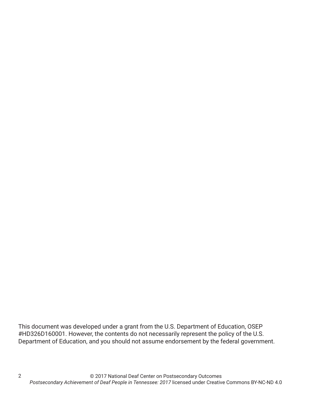This document was developed under a grant from the U.S. Department of Education, OSEP #HD326D160001. However, the contents do not necessarily represent the policy of the U.S. Department of Education, and you should not assume endorsement by the federal government.

2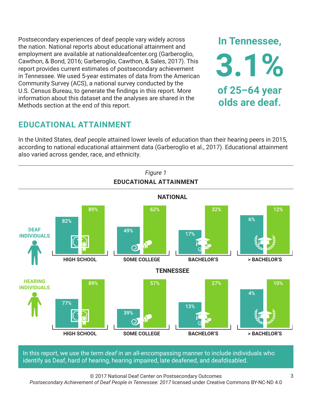Postsecondary experiences of deaf people vary widely across the nation. National reports about educational attainment and employment are available at nationaldeafcenter.org (Garberoglio, Cawthon, & Bond, 2016; Garberoglio, Cawthon, & Sales, 2017). This report provides current estimates of postsecondary achievement in Tennessee. We used 5-year estimates of data from the American Community Survey (ACS), a national survey conducted by the U.S. Census Bureau, to generate the findings in this report. More information about this dataset and the analyses are shared in the Methods section at the end of this report.

# **EDUCATIONAL ATTAINMENT**

In the United States, deaf people attained lower levels of education than their hearing peers in 2015, according to national educational attainment data (Garberoglio et al., 2017). Educational attainment also varied across gender, race, and ethnicity.



In this report, we use the term *deaf* in an all-encompassing manner to include individuals who identify as Deaf, hard of hearing, hearing impaired, late deafened, and deafdisabled.

© 2017 National Deaf Center on Postsecondary Outcomes

*Postsecondary Achievement of Deaf People in Tennessee: 2017* licensed under Creative Commons BY-NC-ND 4.0

**In Tennessee,**

**3.1%**

**of 25–64 year**

**olds are deaf.**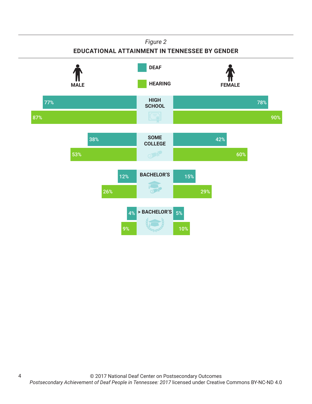#### *Figure 2*

#### **EDUCATIONAL ATTAINMENT IN TENNESSEE BY GENDER**



4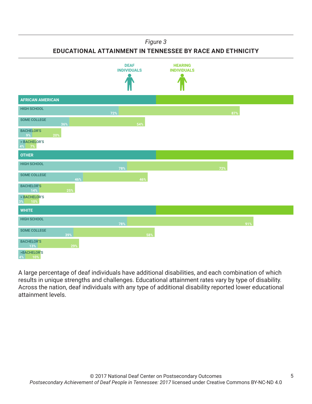#### *Figure 3*

**EDUCATIONAL ATTAINMENT IN TENNESSEE BY RACE AND ETHNICITY**



A large percentage of deaf individuals have additional disabilities, and each combination of which results in unique strengths and challenges. Educational attainment rates vary by type of disability. Across the nation, deaf individuals with any type of additional disability reported lower educational attainment levels.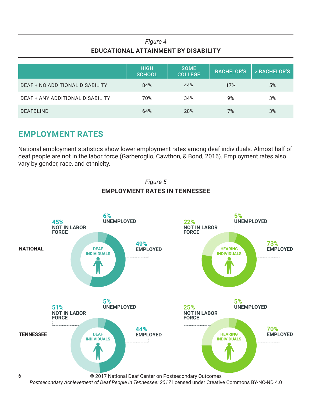### *Figure 4* **EDUCATIONAL ATTAINMENT BY DISABILITY**

|                                  | <b>HIGH</b><br><b>SCHOOL</b> | <b>SOME</b><br><b>COLLEGE</b> | <b>BACHELOR'S</b> | > BACHELOR'S |
|----------------------------------|------------------------------|-------------------------------|-------------------|--------------|
| DEAF + NO ADDITIONAL DISABILITY  | 84%                          | 44%                           | 17%               | 5%           |
| DEAF + ANY ADDITIONAL DISABILITY | 70%                          | 34%                           | 9%                | 3%           |
| <b>DEAFBLIND</b>                 | 64%                          | 28%                           | 7%                | 3%           |

# **EMPLOYMENT RATES**

National employment statistics show lower employment rates among deaf individuals. Almost half of deaf people are not in the labor force (Garberoglio, Cawthon, & Bond, 2016). Employment rates also vary by gender, race, and ethnicity.

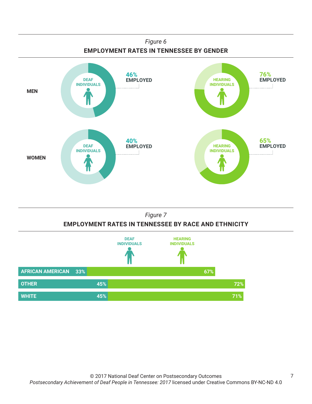



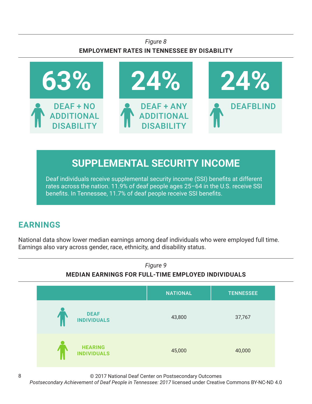#### *Figure 8* **EMPLOYMENT RATES IN TENNESSEE BY DISABILITY**



# **SUPPLEMENTAL SECURITY INCOME**

Deaf individuals receive supplemental security income (SSI) benefits at different rates across the nation. 11.9% of deaf people ages 25–64 in the U.S. receive SSI benefits. In Tennessee, 11.7% of deaf people receive SSI benefits.

# **EARNINGS**

National data show lower median earnings among deaf individuals who were employed full time. Earnings also vary across gender, race, ethnicity, and disability status.



© 2017 National Deaf Center on Postsecondary Outcomes

*Postsecondary Achievement of Deaf People in Tennessee: 2017* licensed under Creative Commons BY-NC-ND 4.0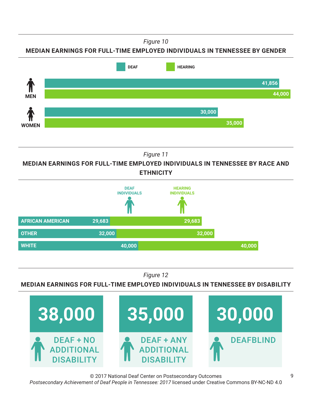*Figure 10*

**MEDIAN EARNINGS FOR FULL-TIME EMPLOYED INDIVIDUALS IN TENNESSEE BY GENDER**



*Figure 11*

**MEDIAN EARNINGS FOR FULL-TIME EMPLOYED INDIVIDUALS IN TENNESSEE BY RACE AND ETHNICITY**



*Figure 12*

**MEDIAN EARNINGS FOR FULL-TIME EMPLOYED INDIVIDUALS IN TENNESSEE BY DISABILITY**

![](_page_8_Picture_8.jpeg)

© 2017 National Deaf Center on Postsecondary Outcomes *Postsecondary Achievement of Deaf People in Tennessee: 2017* licensed under Creative Commons BY-NC-ND 4.0